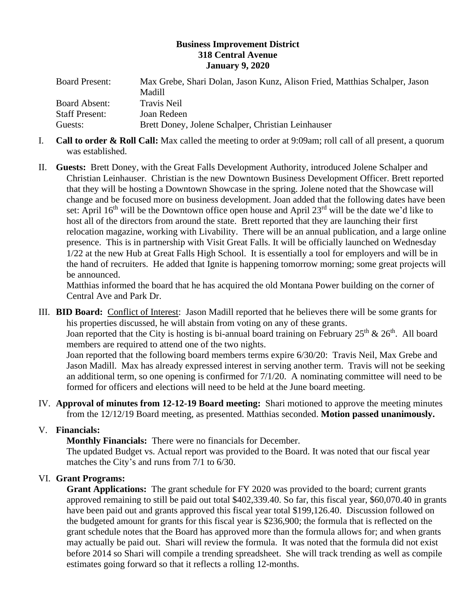### **Business Improvement District 318 Central Avenue January 9, 2020**

| <b>Board Present:</b> | Max Grebe, Shari Dolan, Jason Kunz, Alison Fried, Matthias Schalper, Jason |
|-----------------------|----------------------------------------------------------------------------|
|                       | Madill                                                                     |
| <b>Board Absent:</b>  | Travis Neil                                                                |
| <b>Staff Present:</b> | Joan Redeen                                                                |
| Guests:               | Brett Doney, Jolene Schalper, Christian Leinhauser                         |

- I. **Call to order & Roll Call:** Max called the meeting to order at 9:09am; roll call of all present, a quorum was established.
- II. **Guests:** Brett Doney, with the Great Falls Development Authority, introduced Jolene Schalper and Christian Leinhauser. Christian is the new Downtown Business Development Officer. Brett reported that they will be hosting a Downtown Showcase in the spring. Jolene noted that the Showcase will change and be focused more on business development. Joan added that the following dates have been set: April  $16<sup>th</sup>$  will be the Downtown office open house and April 23<sup>rd</sup> will be the date we'd like to host all of the directors from around the state. Brett reported that they are launching their first relocation magazine, working with Livability. There will be an annual publication, and a large online presence. This is in partnership with Visit Great Falls. It will be officially launched on Wednesday 1/22 at the new Hub at Great Falls High School. It is essentially a tool for employers and will be in the hand of recruiters. He added that Ignite is happening tomorrow morning; some great projects will be announced.

Matthias informed the board that he has acquired the old Montana Power building on the corner of Central Ave and Park Dr.

III. **BID Board:** Conflict of Interest: Jason Madill reported that he believes there will be some grants for his properties discussed, he will abstain from voting on any of these grants. Joan reported that the City is hosting is bi-annual board training on February  $25<sup>th</sup>$  &  $26<sup>th</sup>$ . All board members are required to attend one of the two nights.

Joan reported that the following board members terms expire 6/30/20: Travis Neil, Max Grebe and Jason Madill. Max has already expressed interest in serving another term. Travis will not be seeking an additional term, so one opening is confirmed for 7/1/20. A nominating committee will need to be formed for officers and elections will need to be held at the June board meeting.

IV. **Approval of minutes from 12-12-19 Board meeting:** Shari motioned to approve the meeting minutes from the 12/12/19 Board meeting, as presented. Matthias seconded. **Motion passed unanimously.** 

# V. **Financials:**

**Monthly Financials:** There were no financials for December.

The updated Budget vs. Actual report was provided to the Board. It was noted that our fiscal year matches the City's and runs from 7/1 to 6/30.

# VI. **Grant Programs:**

**Grant Applications:** The grant schedule for FY 2020 was provided to the board; current grants approved remaining to still be paid out total \$402,339.40. So far, this fiscal year, \$60,070.40 in grants have been paid out and grants approved this fiscal year total \$199,126.40. Discussion followed on the budgeted amount for grants for this fiscal year is \$236,900; the formula that is reflected on the grant schedule notes that the Board has approved more than the formula allows for; and when grants may actually be paid out. Shari will review the formula. It was noted that the formula did not exist before 2014 so Shari will compile a trending spreadsheet. She will track trending as well as compile estimates going forward so that it reflects a rolling 12-months.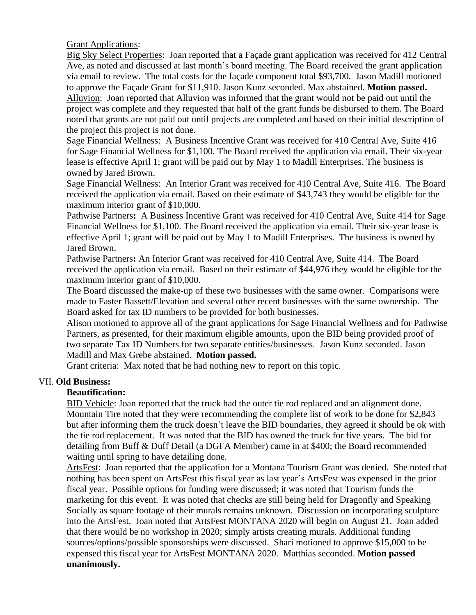### Grant Applications:

Big Sky Select Properties: Joan reported that a Façade grant application was received for 412 Central Ave, as noted and discussed at last month's board meeting. The Board received the grant application via email to review. The total costs for the façade component total \$93,700. Jason Madill motioned to approve the Façade Grant for \$11,910. Jason Kunz seconded. Max abstained. **Motion passed.** Alluvion: Joan reported that Alluvion was informed that the grant would not be paid out until the project was complete and they requested that half of the grant funds be disbursed to them. The Board noted that grants are not paid out until projects are completed and based on their initial description of the project this project is not done.

Sage Financial Wellness: A Business Incentive Grant was received for 410 Central Ave, Suite 416 for Sage Financial Wellness for \$1,100. The Board received the application via email. Their six-year lease is effective April 1; grant will be paid out by May 1 to Madill Enterprises. The business is owned by Jared Brown.

Sage Financial Wellness: An Interior Grant was received for 410 Central Ave, Suite 416. The Board received the application via email. Based on their estimate of \$43,743 they would be eligible for the maximum interior grant of \$10,000.

Pathwise Partners**:** A Business Incentive Grant was received for 410 Central Ave, Suite 414 for Sage Financial Wellness for \$1,100. The Board received the application via email. Their six-year lease is effective April 1; grant will be paid out by May 1 to Madill Enterprises. The business is owned by Jared Brown.

Pathwise Partners**:** An Interior Grant was received for 410 Central Ave, Suite 414. The Board received the application via email. Based on their estimate of \$44,976 they would be eligible for the maximum interior grant of \$10,000.

The Board discussed the make-up of these two businesses with the same owner. Comparisons were made to Faster Bassett/Elevation and several other recent businesses with the same ownership. The Board asked for tax ID numbers to be provided for both businesses.

Alison motioned to approve all of the grant applications for Sage Financial Wellness and for Pathwise Partners, as presented, for their maximum eligible amounts, upon the BID being provided proof of two separate Tax ID Numbers for two separate entities/businesses. Jason Kunz seconded. Jason Madill and Max Grebe abstained. **Motion passed.** 

Grant criteria: Max noted that he had nothing new to report on this topic.

#### VII. **Old Business:**

# **Beautification:**

BID Vehicle: Joan reported that the truck had the outer tie rod replaced and an alignment done. Mountain Tire noted that they were recommending the complete list of work to be done for \$2,843 but after informing them the truck doesn't leave the BID boundaries, they agreed it should be ok with the tie rod replacement. It was noted that the BID has owned the truck for five years. The bid for detailing from Buff & Duff Detail (a DGFA Member) came in at \$400; the Board recommended waiting until spring to have detailing done.

ArtsFest: Joan reported that the application for a Montana Tourism Grant was denied. She noted that nothing has been spent on ArtsFest this fiscal year as last year's ArtsFest was expensed in the prior fiscal year. Possible options for funding were discussed; it was noted that Tourism funds the marketing for this event. It was noted that checks are still being held for Dragonfly and Speaking Socially as square footage of their murals remains unknown. Discussion on incorporating sculpture into the ArtsFest. Joan noted that ArtsFest MONTANA 2020 will begin on August 21. Joan added that there would be no workshop in 2020; simply artists creating murals. Additional funding sources/options/possible sponsorships were discussed. Shari motioned to approve \$15,000 to be expensed this fiscal year for ArtsFest MONTANA 2020. Matthias seconded. **Motion passed unanimously.**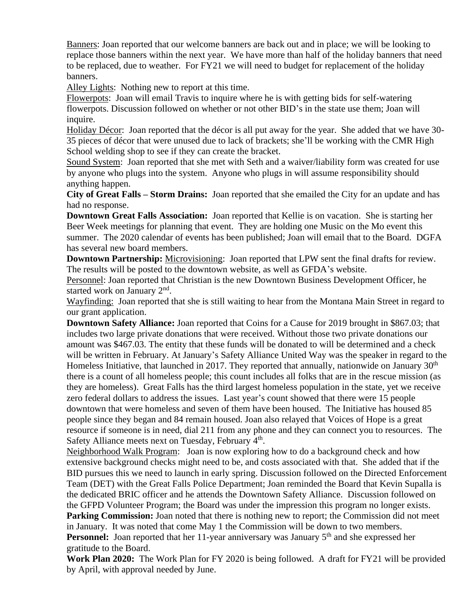Banners: Joan reported that our welcome banners are back out and in place; we will be looking to replace those banners within the next year. We have more than half of the holiday banners that need to be replaced, due to weather. For FY21 we will need to budget for replacement of the holiday banners.

Alley Lights: Nothing new to report at this time.

Flowerpots: Joan will email Travis to inquire where he is with getting bids for self-watering flowerpots. Discussion followed on whether or not other BID's in the state use them; Joan will inquire.

Holiday Décor: Joan reported that the décor is all put away for the year. She added that we have 30- 35 pieces of décor that were unused due to lack of brackets; she'll be working with the CMR High School welding shop to see if they can create the bracket.

Sound System: Joan reported that she met with Seth and a waiver/liability form was created for use by anyone who plugs into the system. Anyone who plugs in will assume responsibility should anything happen.

**City of Great Falls – Storm Drains:** Joan reported that she emailed the City for an update and has had no response.

**Downtown Great Falls Association:** Joan reported that Kellie is on vacation. She is starting her Beer Week meetings for planning that event. They are holding one Music on the Mo event this summer. The 2020 calendar of events has been published; Joan will email that to the Board. DGFA has several new board members.

**Downtown Partnership:** Microvisioning: Joan reported that LPW sent the final drafts for review. The results will be posted to the downtown website, as well as GFDA's website.

Personnel: Joan reported that Christian is the new Downtown Business Development Officer, he started work on January 2<sup>nd</sup>.

Wayfinding: Joan reported that she is still waiting to hear from the Montana Main Street in regard to our grant application.

**Downtown Safety Alliance:** Joan reported that Coins for a Cause for 2019 brought in \$867.03; that includes two large private donations that were received. Without those two private donations our amount was \$467.03. The entity that these funds will be donated to will be determined and a check will be written in February. At January's Safety Alliance United Way was the speaker in regard to the Homeless Initiative, that launched in 2017. They reported that annually, nationwide on January  $30<sup>th</sup>$ there is a count of all homeless people; this count includes all folks that are in the rescue mission (as they are homeless). Great Falls has the third largest homeless population in the state, yet we receive zero federal dollars to address the issues. Last year's count showed that there were 15 people downtown that were homeless and seven of them have been housed. The Initiative has housed 85 people since they began and 84 remain housed. Joan also relayed that Voices of Hope is a great resource if someone is in need, dial 211 from any phone and they can connect you to resources. The Safety Alliance meets next on Tuesday, February 4<sup>th</sup>.

Neighborhood Walk Program: Joan is now exploring how to do a background check and how extensive background checks might need to be, and costs associated with that. She added that if the BID pursues this we need to launch in early spring. Discussion followed on the Directed Enforcement Team (DET) with the Great Falls Police Department; Joan reminded the Board that Kevin Supalla is the dedicated BRIC officer and he attends the Downtown Safety Alliance. Discussion followed on the GFPD Volunteer Program; the Board was under the impression this program no longer exists.

**Parking Commission:** Joan noted that there is nothing new to report; the Commission did not meet in January. It was noted that come May 1 the Commission will be down to two members. **Personnel:** Joan reported that her 11-year anniversary was January 5<sup>th</sup> and she expressed her

gratitude to the Board.

**Work Plan 2020:** The Work Plan for FY 2020 is being followed. A draft for FY21 will be provided by April, with approval needed by June.